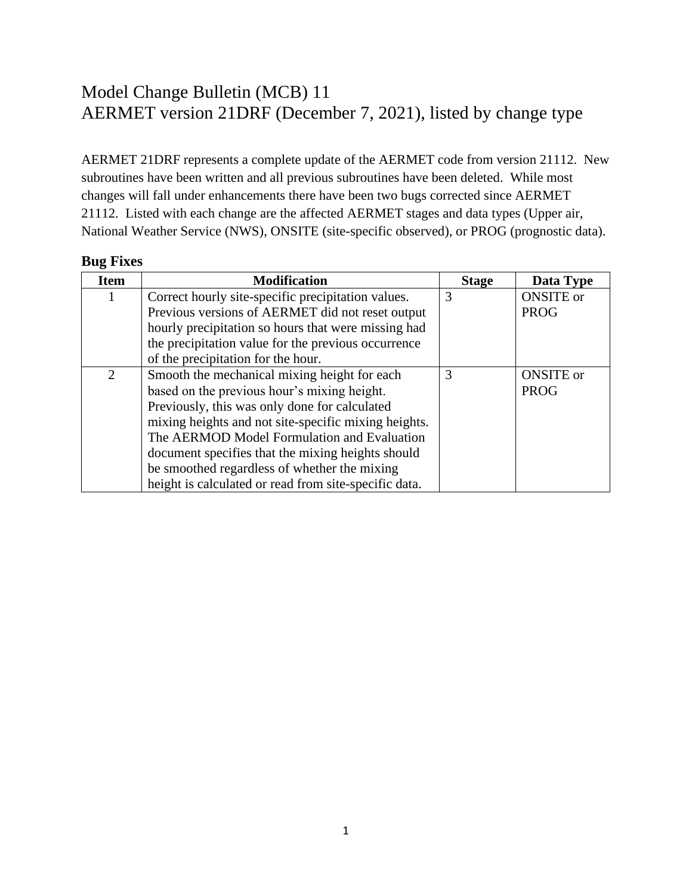## Model Change Bulletin (MCB) 11 AERMET version 21DRF (December 7, 2021), listed by change type

AERMET 21DRF represents a complete update of the AERMET code from version 21112. New subroutines have been written and all previous subroutines have been deleted. While most changes will fall under enhancements there have been two bugs corrected since AERMET 21112. Listed with each change are the affected AERMET stages and data types (Upper air, National Weather Service (NWS), ONSITE (site-specific observed), or PROG (prognostic data).

## **Bug Fixes**

| <b>Item</b>    | <b>Modification</b>                                   | <b>Stage</b> | Data Type        |
|----------------|-------------------------------------------------------|--------------|------------------|
| 1              | Correct hourly site-specific precipitation values.    | 3            | <b>ONSITE</b> or |
|                | Previous versions of AERMET did not reset output      |              | <b>PROG</b>      |
|                | hourly precipitation so hours that were missing had   |              |                  |
|                | the precipitation value for the previous occurrence   |              |                  |
|                | of the precipitation for the hour.                    |              |                  |
| $\overline{2}$ | Smooth the mechanical mixing height for each          | 3            | <b>ONSITE</b> or |
|                | based on the previous hour's mixing height.           |              | <b>PROG</b>      |
|                | Previously, this was only done for calculated         |              |                  |
|                | mixing heights and not site-specific mixing heights.  |              |                  |
|                | The AERMOD Model Formulation and Evaluation           |              |                  |
|                | document specifies that the mixing heights should     |              |                  |
|                | be smoothed regardless of whether the mixing          |              |                  |
|                | height is calculated or read from site-specific data. |              |                  |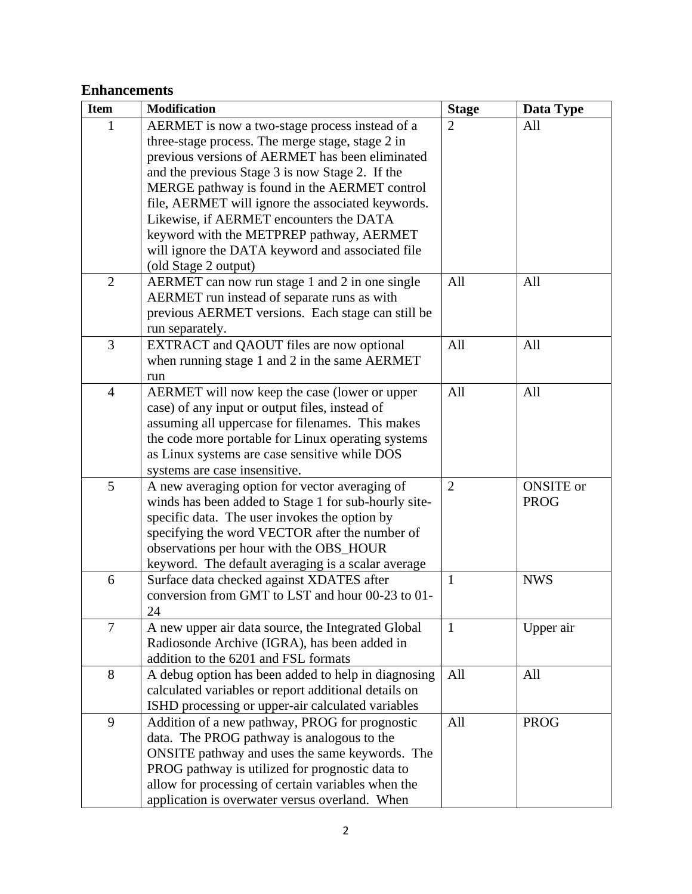## **Enhancements**

| <b>Item</b>    | <b>Modification</b>                                         | <b>Stage</b>   | Data Type        |
|----------------|-------------------------------------------------------------|----------------|------------------|
| 1              | AERMET is now a two-stage process instead of a              | $\overline{2}$ | All              |
|                | three-stage process. The merge stage, stage 2 in            |                |                  |
|                | previous versions of AERMET has been eliminated             |                |                  |
|                | and the previous Stage 3 is now Stage 2. If the             |                |                  |
|                | MERGE pathway is found in the AERMET control                |                |                  |
|                | file, AERMET will ignore the associated keywords.           |                |                  |
|                | Likewise, if AERMET encounters the DATA                     |                |                  |
|                | keyword with the METPREP pathway, AERMET                    |                |                  |
|                | will ignore the DATA keyword and associated file            |                |                  |
|                | (old Stage 2 output)                                        |                |                  |
| $\overline{2}$ | AERMET can now run stage 1 and 2 in one single              | All            | All              |
|                | AERMET run instead of separate runs as with                 |                |                  |
|                | previous AERMET versions. Each stage can still be           |                |                  |
| 3              | run separately.<br>EXTRACT and QAOUT files are now optional | All            | All              |
|                | when running stage 1 and 2 in the same AERMET               |                |                  |
|                | run                                                         |                |                  |
| $\overline{4}$ | AERMET will now keep the case (lower or upper               | All            | All              |
|                | case) of any input or output files, instead of              |                |                  |
|                | assuming all uppercase for filenames. This makes            |                |                  |
|                | the code more portable for Linux operating systems          |                |                  |
|                | as Linux systems are case sensitive while DOS               |                |                  |
|                | systems are case insensitive.                               |                |                  |
| 5              | A new averaging option for vector averaging of              | $\overline{2}$ | <b>ONSITE</b> or |
|                | winds has been added to Stage 1 for sub-hourly site-        |                | <b>PROG</b>      |
|                | specific data. The user invokes the option by               |                |                  |
|                | specifying the word VECTOR after the number of              |                |                  |
|                | observations per hour with the OBS_HOUR                     |                |                  |
|                | keyword. The default averaging is a scalar average          |                |                  |
| 6              | Surface data checked against XDATES after                   | $\mathbf{1}$   | <b>NWS</b>       |
|                | conversion from GMT to LST and hour 00-23 to 01-<br>24      |                |                  |
| $\overline{7}$ | A new upper air data source, the Integrated Global          | $\mathbf{1}$   | Upper air        |
|                | Radiosonde Archive (IGRA), has been added in                |                |                  |
|                | addition to the 6201 and FSL formats                        |                |                  |
| 8              | A debug option has been added to help in diagnosing         | All            | All              |
|                | calculated variables or report additional details on        |                |                  |
|                | ISHD processing or upper-air calculated variables           |                |                  |
| 9              | Addition of a new pathway, PROG for prognostic              | All            | <b>PROG</b>      |
|                | data. The PROG pathway is analogous to the                  |                |                  |
|                | ONSITE pathway and uses the same keywords. The              |                |                  |
|                | PROG pathway is utilized for prognostic data to             |                |                  |
|                | allow for processing of certain variables when the          |                |                  |
|                | application is overwater versus overland. When              |                |                  |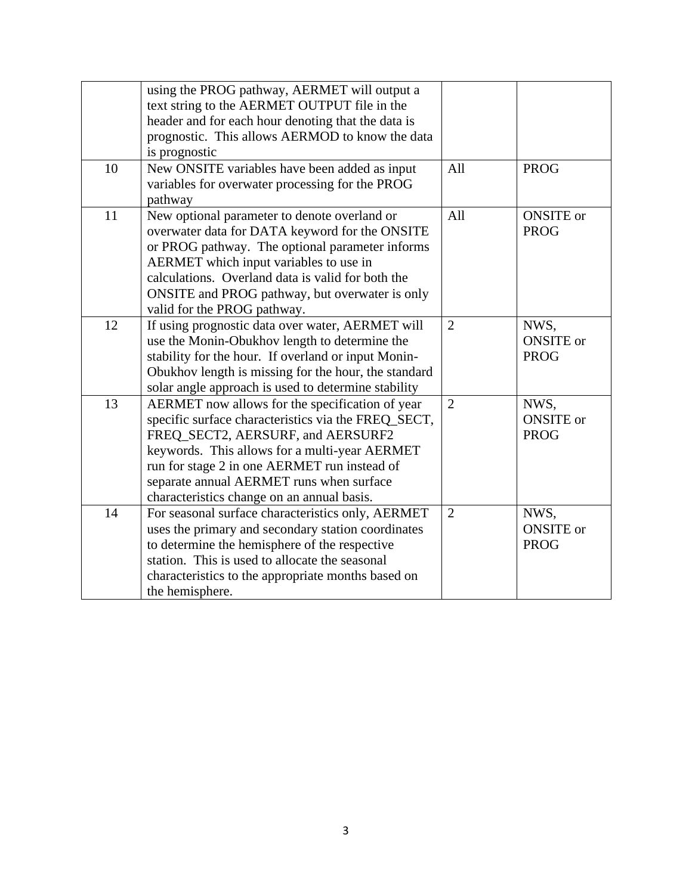| 10 | using the PROG pathway, AERMET will output a<br>text string to the AERMET OUTPUT file in the<br>header and for each hour denoting that the data is<br>prognostic. This allows AERMOD to know the data<br>is prognostic<br>New ONSITE variables have been added as input                                                                | All            | <b>PROG</b>                             |
|----|----------------------------------------------------------------------------------------------------------------------------------------------------------------------------------------------------------------------------------------------------------------------------------------------------------------------------------------|----------------|-----------------------------------------|
|    | variables for overwater processing for the PROG<br>pathway                                                                                                                                                                                                                                                                             |                |                                         |
| 11 | New optional parameter to denote overland or<br>overwater data for DATA keyword for the ONSITE<br>or PROG pathway. The optional parameter informs<br>AERMET which input variables to use in<br>calculations. Overland data is valid for both the<br>ONSITE and PROG pathway, but overwater is only<br>valid for the PROG pathway.      | All            | <b>ONSITE</b> or<br><b>PROG</b>         |
| 12 | If using prognostic data over water, AERMET will<br>use the Monin-Obukhov length to determine the<br>stability for the hour. If overland or input Monin-<br>Obukhov length is missing for the hour, the standard<br>solar angle approach is used to determine stability                                                                | $\overline{2}$ | NWS,<br><b>ONSITE</b> or<br><b>PROG</b> |
| 13 | AERMET now allows for the specification of year<br>specific surface characteristics via the FREQ_SECT,<br>FREQ_SECT2, AERSURF, and AERSURF2<br>keywords. This allows for a multi-year AERMET<br>run for stage 2 in one AERMET run instead of<br>separate annual AERMET runs when surface<br>characteristics change on an annual basis. | $\overline{2}$ | NWS,<br><b>ONSITE</b> or<br><b>PROG</b> |
| 14 | For seasonal surface characteristics only, AERMET<br>uses the primary and secondary station coordinates<br>to determine the hemisphere of the respective<br>station. This is used to allocate the seasonal<br>characteristics to the appropriate months based on<br>the hemisphere.                                                    | $\overline{2}$ | NWS,<br><b>ONSITE</b> or<br><b>PROG</b> |